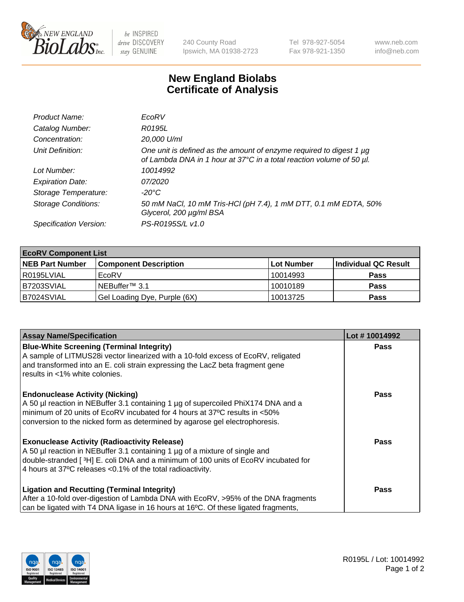

 $be$  INSPIRED drive DISCOVERY stay GENUINE

240 County Road Ipswich, MA 01938-2723 Tel 978-927-5054 Fax 978-921-1350 www.neb.com info@neb.com

## **New England Biolabs Certificate of Analysis**

| Product Name:              | EcoRV                                                                                                                                       |
|----------------------------|---------------------------------------------------------------------------------------------------------------------------------------------|
| Catalog Number:            | R0195L                                                                                                                                      |
| Concentration:             | 20,000 U/ml                                                                                                                                 |
| Unit Definition:           | One unit is defined as the amount of enzyme required to digest 1 µg<br>of Lambda DNA in 1 hour at 37°C in a total reaction volume of 50 µl. |
| Lot Number:                | 10014992                                                                                                                                    |
| <b>Expiration Date:</b>    | 07/2020                                                                                                                                     |
| Storage Temperature:       | $-20^{\circ}$ C                                                                                                                             |
| <b>Storage Conditions:</b> | 50 mM NaCl, 10 mM Tris-HCl (pH 7.4), 1 mM DTT, 0.1 mM EDTA, 50%<br>Glycerol, 200 µg/ml BSA                                                  |
| Specification Version:     | PS-R0195S/L v1.0                                                                                                                            |

| <b>EcoRV Component List</b> |                              |                   |                      |  |  |
|-----------------------------|------------------------------|-------------------|----------------------|--|--|
| <b>NEB Part Number</b>      | <b>Component Description</b> | <b>Lot Number</b> | Individual QC Result |  |  |
| l R0195LVIAL                | EcoRV                        | 10014993          | <b>Pass</b>          |  |  |
| B7203SVIAL                  | INEBuffer™ 3.1               | 10010189          | <b>Pass</b>          |  |  |
| B7024SVIAL                  | Gel Loading Dye, Purple (6X) | 10013725          | <b>Pass</b>          |  |  |

| <b>Assay Name/Specification</b>                                                                                                                                 | Lot #10014992 |
|-----------------------------------------------------------------------------------------------------------------------------------------------------------------|---------------|
| <b>Blue-White Screening (Terminal Integrity)</b><br>A sample of LITMUS28i vector linearized with a 10-fold excess of EcoRV, religated                           | <b>Pass</b>   |
| and transformed into an E. coli strain expressing the LacZ beta fragment gene<br>results in <1% white colonies.                                                 |               |
| <b>Endonuclease Activity (Nicking)</b>                                                                                                                          | Pass          |
| A 50 µl reaction in NEBuffer 3.1 containing 1 µg of supercoiled PhiX174 DNA and a<br>minimum of 20 units of EcoRV incubated for 4 hours at 37°C results in <50% |               |
| conversion to the nicked form as determined by agarose gel electrophoresis.                                                                                     |               |
| <b>Exonuclease Activity (Radioactivity Release)</b>                                                                                                             | Pass          |
| A 50 µl reaction in NEBuffer 3.1 containing 1 µg of a mixture of single and                                                                                     |               |
| double-stranded [ <sup>3</sup> H] E. coli DNA and a minimum of 100 units of EcoRV incubated for                                                                 |               |
| 4 hours at 37°C releases < 0.1% of the total radioactivity.                                                                                                     |               |
| <b>Ligation and Recutting (Terminal Integrity)</b>                                                                                                              | <b>Pass</b>   |
| After a 10-fold over-digestion of Lambda DNA with EcoRV, >95% of the DNA fragments                                                                              |               |
| can be ligated with T4 DNA ligase in 16 hours at 16 $\degree$ C. Of these ligated fragments,                                                                    |               |